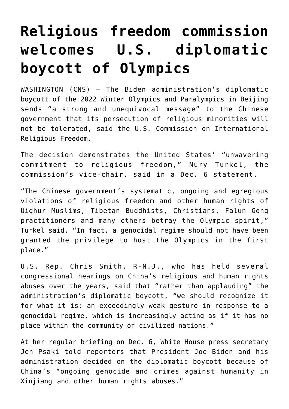## **[Religious freedom commission](https://www.osvnews.com/amp/2021/12/07/religious-freedom-commission-welcomes-u-s-diplomatic-boycott-of-olympics/) [welcomes U.S. diplomatic](https://www.osvnews.com/amp/2021/12/07/religious-freedom-commission-welcomes-u-s-diplomatic-boycott-of-olympics/) [boycott of Olympics](https://www.osvnews.com/amp/2021/12/07/religious-freedom-commission-welcomes-u-s-diplomatic-boycott-of-olympics/)**

WASHINGTON (CNS) — The Biden administration's diplomatic boycott of the 2022 Winter Olympics and Paralympics in Beijing sends "a strong and unequivocal message" to the Chinese government that its persecution of religious minorities will not be tolerated, said the U.S. Commission on International Religious Freedom.

The decision demonstrates the United States' "unwavering commitment to religious freedom," Nury Turkel, the commission's vice-chair, said in a Dec. 6 statement.

"The Chinese government's systematic, ongoing and egregious violations of religious freedom and other human rights of Uighur Muslims, Tibetan Buddhists, Christians, Falun Gong practitioners and many others betray the Olympic spirit," Turkel said. "In fact, a genocidal regime should not have been granted the privilege to host the Olympics in the first place."

U.S. Rep. Chris Smith, R-N.J., who has held several congressional hearings on China's religious and human rights abuses over the years, said that "rather than applauding" the administration's diplomatic boycott, "we should recognize it for what it is: an exceedingly weak gesture in response to a genocidal regime, which is increasingly acting as if it has no place within the community of civilized nations."

At her regular briefing on Dec. 6, White House press secretary Jen Psaki told reporters that President Joe Biden and his administration decided on the diplomatic boycott because of China's "ongoing genocide and crimes against humanity in Xinjiang and other human rights abuses."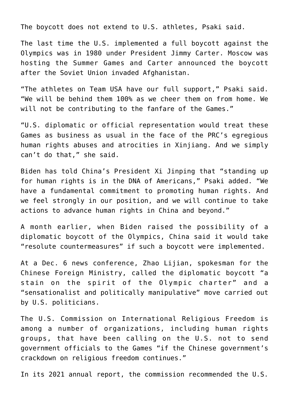The boycott does not extend to U.S. athletes, Psaki said.

The last time the U.S. implemented a full boycott against the Olympics was in 1980 under President Jimmy Carter. Moscow was hosting the Summer Games and Carter announced the boycott after the Soviet Union invaded Afghanistan.

"The athletes on Team USA have our full support," Psaki said. "We will be behind them 100% as we cheer them on from home. We will not be contributing to the fanfare of the Games."

"U.S. diplomatic or official representation would treat these Games as business as usual in the face of the PRC's egregious human rights abuses and atrocities in Xinjiang. And we simply can't do that," she said.

Biden has told China's President Xi Jinping that "standing up for human rights is in the DNA of Americans," Psaki added. "We have a fundamental commitment to promoting human rights. And we feel strongly in our position, and we will continue to take actions to advance human rights in China and beyond."

A month earlier, when Biden raised the possibility of a diplomatic boycott of the Olympics, China said it would take "resolute countermeasures" if such a boycott were implemented.

At a Dec. 6 news conference, Zhao Lijian, spokesman for the Chinese Foreign Ministry, called the diplomatic boycott "a stain on the spirit of the Olympic charter" and a "sensationalist and politically manipulative" move carried out by U.S. politicians.

The U.S. Commission on International Religious Freedom is among a number of organizations, including human rights groups, that have been calling on the U.S. not to send government officials to the Games "if the Chinese government's crackdown on religious freedom continues."

In its 2021 annual report, the commission recommended the U.S.